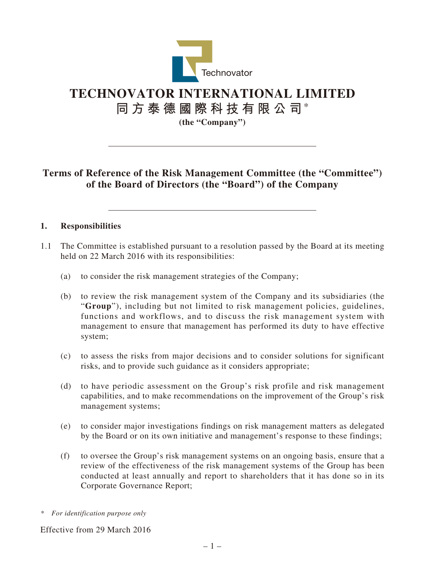

# **TECHNOVATOR INTERNATIONAL LIMITED**

**同方泰德國際科技有限公司**\*

**(the "Company")**

# **Terms of Reference of the Risk Management Committee (the "Committee") of the Board of Directors (the "Board") of the Company**

#### **1. Responsibilities**

- 1.1 The Committee is established pursuant to a resolution passed by the Board at its meeting held on 22 March 2016 with its responsibilities:
	- (a) to consider the risk management strategies of the Company;
	- (b) to review the risk management system of the Company and its subsidiaries (the "**Group**"), including but not limited to risk management policies, guidelines, functions and workflows, and to discuss the risk management system with management to ensure that management has performed its duty to have effective system;
	- (c) to assess the risks from major decisions and to consider solutions for significant risks, and to provide such guidance as it considers appropriate;
	- (d) to have periodic assessment on the Group's risk profile and risk management capabilities, and to make recommendations on the improvement of the Group's risk management systems;
	- (e) to consider major investigations findings on risk management matters as delegated by the Board or on its own initiative and management's response to these findings;
	- (f) to oversee the Group's risk management systems on an ongoing basis, ensure that a review of the effectiveness of the risk management systems of the Group has been conducted at least annually and report to shareholders that it has done so in its Corporate Governance Report;
- *\* For identification purpose only*

Effective from 29 March 2016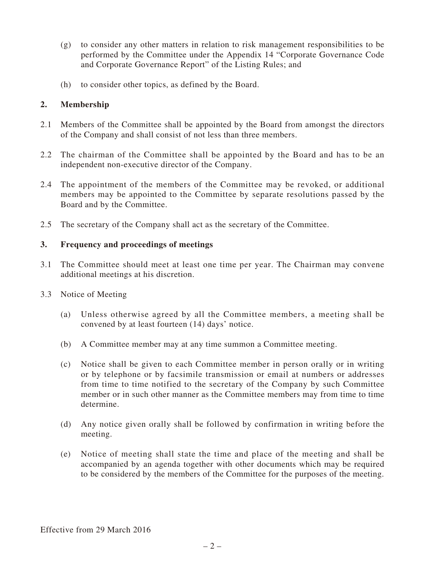- (g) to consider any other matters in relation to risk management responsibilities to be performed by the Committee under the Appendix 14 "Corporate Governance Code and Corporate Governance Report" of the Listing Rules; and
- (h) to consider other topics, as defined by the Board.

#### **2. Membership**

- 2.1 Members of the Committee shall be appointed by the Board from amongst the directors of the Company and shall consist of not less than three members.
- 2.2 The chairman of the Committee shall be appointed by the Board and has to be an independent non-executive director of the Company.
- 2.4 The appointment of the members of the Committee may be revoked, or additional members may be appointed to the Committee by separate resolutions passed by the Board and by the Committee.
- 2.5 The secretary of the Company shall act as the secretary of the Committee.

#### **3. Frequency and proceedings of meetings**

- 3.1 The Committee should meet at least one time per year. The Chairman may convene additional meetings at his discretion.
- 3.3 Notice of Meeting
	- (a) Unless otherwise agreed by all the Committee members, a meeting shall be convened by at least fourteen (14) days' notice.
	- (b) A Committee member may at any time summon a Committee meeting.
	- (c) Notice shall be given to each Committee member in person orally or in writing or by telephone or by facsimile transmission or email at numbers or addresses from time to time notified to the secretary of the Company by such Committee member or in such other manner as the Committee members may from time to time determine.
	- (d) Any notice given orally shall be followed by confirmation in writing before the meeting.
	- (e) Notice of meeting shall state the time and place of the meeting and shall be accompanied by an agenda together with other documents which may be required to be considered by the members of the Committee for the purposes of the meeting.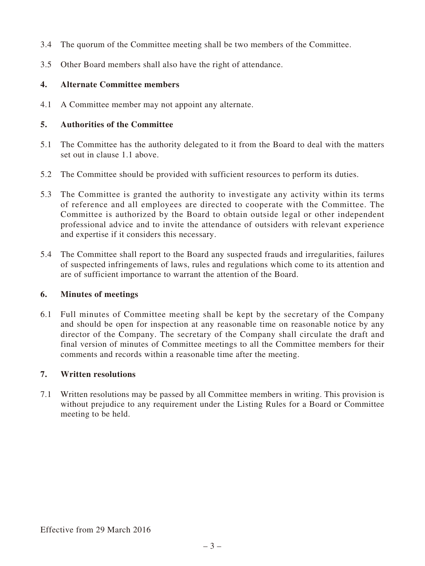- 3.4 The quorum of the Committee meeting shall be two members of the Committee.
- 3.5 Other Board members shall also have the right of attendance.

# **4. Alternate Committee members**

4.1 A Committee member may not appoint any alternate.

### **5. Authorities of the Committee**

- 5.1 The Committee has the authority delegated to it from the Board to deal with the matters set out in clause 1.1 above.
- 5.2 The Committee should be provided with sufficient resources to perform its duties.
- 5.3 The Committee is granted the authority to investigate any activity within its terms of reference and all employees are directed to cooperate with the Committee. The Committee is authorized by the Board to obtain outside legal or other independent professional advice and to invite the attendance of outsiders with relevant experience and expertise if it considers this necessary.
- 5.4 The Committee shall report to the Board any suspected frauds and irregularities, failures of suspected infringements of laws, rules and regulations which come to its attention and are of sufficient importance to warrant the attention of the Board.

#### **6. Minutes of meetings**

6.1 Full minutes of Committee meeting shall be kept by the secretary of the Company and should be open for inspection at any reasonable time on reasonable notice by any director of the Company. The secretary of the Company shall circulate the draft and final version of minutes of Committee meetings to all the Committee members for their comments and records within a reasonable time after the meeting.

## **7. Written resolutions**

7.1 Written resolutions may be passed by all Committee members in writing. This provision is without prejudice to any requirement under the Listing Rules for a Board or Committee meeting to be held.